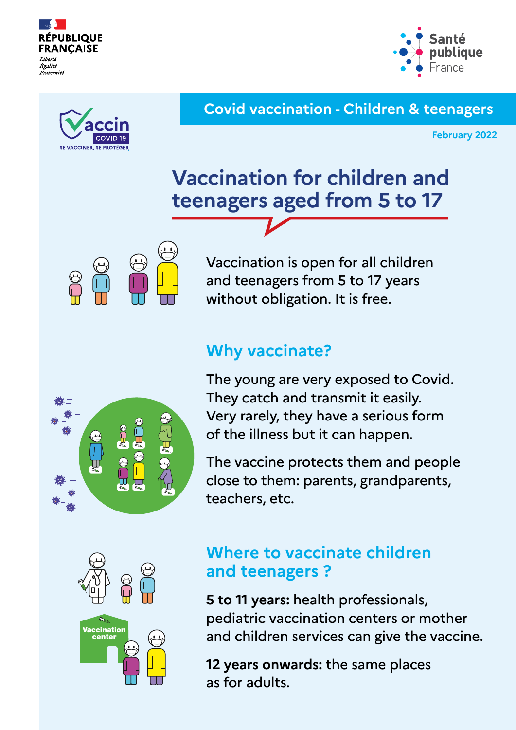



#### **Covid vaccination - Children & teenagers**

**February 2022**

# **Vaccination for children and teenagers aged from 5 to 17**



Vaccination is open for all children and teenagers from 5 to 17 years without obligation. It is free.

### **Why vaccinate?**



The young are very exposed to Covid. They catch and transmit it easily. Very rarely, they have a serious form of the illness but it can happen.

The vaccine protects them and people close to them: parents, grandparents, teachers, etc.



### **Where to vaccinate children and teenagers ?**

**5 to 11 years:** health professionals, pediatric vaccination centers or mother and children services can give the vaccine.

**12 years onwards:** the same places as for adults.